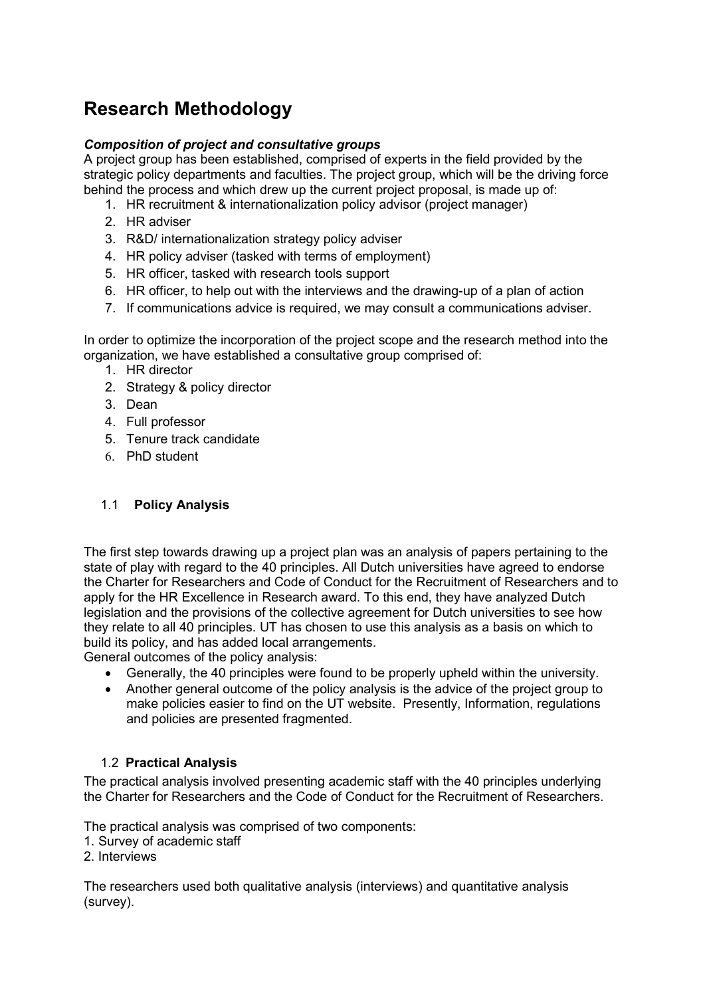# Research Methodology

# Composition of project and consultative groups

A project group has been established, comprised of experts in the field provided by the strategic policy departments and faculties. The project group, which will be the driving force behind the process and which drew up the current project proposal, is made up of:

- 1. HR recruitment & internationalization policy advisor (project manager)
- 2. HR adviser
- 3. R&D/ internationalization strategy policy adviser
- 4. HR policy adviser (tasked with terms of employment)
- 5. HR officer, tasked with research tools support
- 6. HR officer, to help out with the interviews and the drawing-up of a plan of action
- 7. If communications advice is required, we may consult a communications adviser.

In order to optimize the incorporation of the project scope and the research method into the organization, we have established a consultative group comprised of:

- 1. HR director
- 2. Strategy & policy director
- 3. Dean
- 4. Full professor
- 5. Tenure track candidate
- 6. PhD student

# 1.1 Policy Analysis

The first step towards drawing up a project plan was an analysis of papers pertaining to the state of play with regard to the 40 principles. All Dutch universities have agreed to endorse the Charter for Researchers and Code of Conduct for the Recruitment of Researchers and to apply for the HR Excellence in Research award. To this end, they have analyzed Dutch legislation and the provisions of the collective agreement for Dutch universities to see how they relate to all 40 principles. UT has chosen to use this analysis as a basis on which to build its policy, and has added local arrangements.

General outcomes of the policy analysis:

- Generally, the 40 principles were found to be properly upheld within the university.
- Another general outcome of the policy analysis is the advice of the project group to make policies easier to find on the UT website. Presently, Information, regulations and policies are presented fragmented.

# 1.2 Practical Analysis

The practical analysis involved presenting academic staff with the 40 principles underlying the Charter for Researchers and the Code of Conduct for the Recruitment of Researchers.

The practical analysis was comprised of two components:

- 1. Survey of academic staff
- 2. Interviews

The researchers used both qualitative analysis (interviews) and quantitative analysis (survey).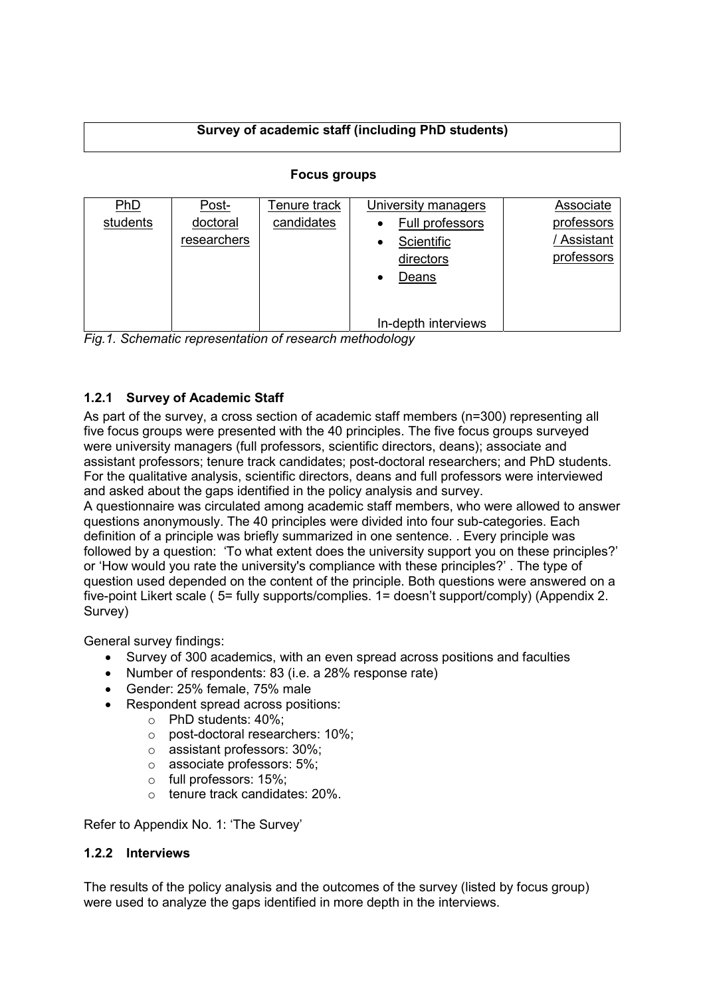# Survey of academic staff (including PhD students)

| PhD<br>students | Post-<br>doctoral<br>researchers | Tenure track<br>candidates | University managers<br>Full professors<br>Scientific<br>directors<br>Deans | Associate<br>professors<br>Assistant<br>professors |
|-----------------|----------------------------------|----------------------------|----------------------------------------------------------------------------|----------------------------------------------------|
|                 |                                  |                            | In-depth interviews                                                        |                                                    |

# Focus groups

Fig.1. Schematic representation of research methodology

# 1.2.1 Survey of Academic Staff

As part of the survey, a cross section of academic staff members (n=300) representing all five focus groups were presented with the 40 principles. The five focus groups surveyed were university managers (full professors, scientific directors, deans); associate and assistant professors; tenure track candidates; post-doctoral researchers; and PhD students. For the qualitative analysis, scientific directors, deans and full professors were interviewed and asked about the gaps identified in the policy analysis and survey.

A questionnaire was circulated among academic staff members, who were allowed to answer questions anonymously. The 40 principles were divided into four sub-categories. Each definition of a principle was briefly summarized in one sentence. . Every principle was followed by a question: 'To what extent does the university support you on these principles?' or 'How would you rate the university's compliance with these principles?' . The type of question used depended on the content of the principle. Both questions were answered on a five-point Likert scale ( 5= fully supports/complies. 1= doesn't support/comply) (Appendix 2. Survey)

General survey findings:

- Survey of 300 academics, with an even spread across positions and faculties
- Number of respondents: 83 (i.e. a 28% response rate)
- Gender: 25% female, 75% male
- Respondent spread across positions:
	- o PhD students: 40%;
		- o post-doctoral researchers: 10%;
		- o assistant professors: 30%;
		- o associate professors: 5%;
		- o full professors: 15%;
		- o tenure track candidates: 20%.

Refer to Appendix No. 1: 'The Survey'

# 1.2.2 Interviews

The results of the policy analysis and the outcomes of the survey (listed by focus group) were used to analyze the gaps identified in more depth in the interviews.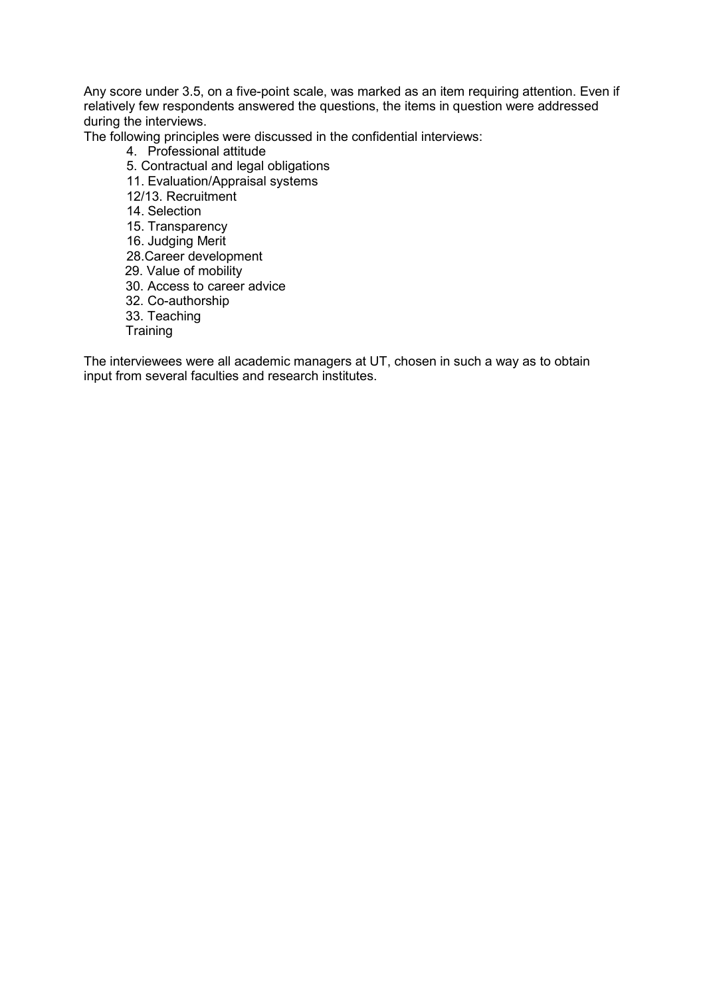Any score under 3.5, on a five-point scale, was marked as an item requiring attention. Even if relatively few respondents answered the questions, the items in question were addressed during the interviews.

The following principles were discussed in the confidential interviews:

- 4. Professional attitude
- 5. Contractual and legal obligations
- 11. Evaluation/Appraisal systems
- 12/13. Recruitment
- 14. Selection
- 15. Transparency
- 16. Judging Merit
- 28.Career development
- 29. Value of mobility
- 30. Access to career advice
- 32. Co-authorship
- 33. Teaching
- **Training**

The interviewees were all academic managers at UT, chosen in such a way as to obtain input from several faculties and research institutes.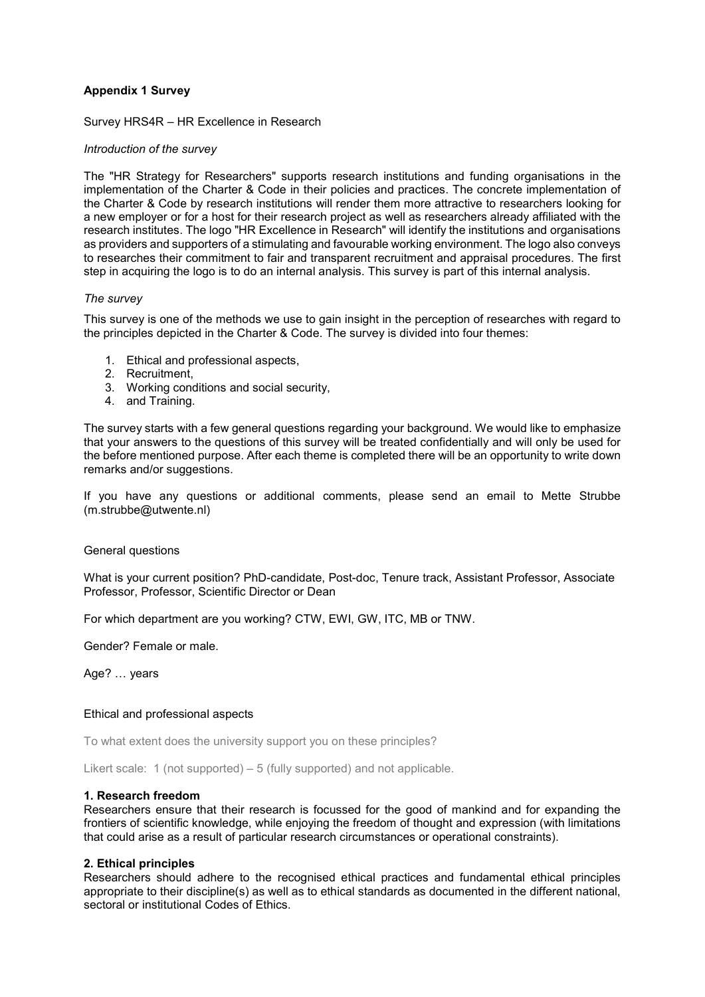# Appendix 1 Survey

Survey HRS4R – HR Excellence in Research

#### Introduction of the survey

The "HR Strategy for Researchers" supports research institutions and funding organisations in the implementation of the Charter & Code in their policies and practices. The concrete implementation of the Charter & Code by research institutions will render them more attractive to researchers looking for a new employer or for a host for their research project as well as researchers already affiliated with the research institutes. The logo "HR Excellence in Research" will identify the institutions and organisations as providers and supporters of a stimulating and favourable working environment. The logo also conveys to researches their commitment to fair and transparent recruitment and appraisal procedures. The first step in acquiring the logo is to do an internal analysis. This survey is part of this internal analysis.

### The survey

This survey is one of the methods we use to gain insight in the perception of researches with regard to the principles depicted in the Charter & Code. The survey is divided into four themes:

- 1. Ethical and professional aspects,
- 2. Recruitment,
- 3. Working conditions and social security,
- 4. and Training.

The survey starts with a few general questions regarding your background. We would like to emphasize that your answers to the questions of this survey will be treated confidentially and will only be used for the before mentioned purpose. After each theme is completed there will be an opportunity to write down remarks and/or suggestions.

If you have any questions or additional comments, please send an email to Mette Strubbe (m.strubbe@utwente.nl)

#### General questions

What is your current position? PhD-candidate, Post-doc, Tenure track, Assistant Professor, Associate Professor, Professor, Scientific Director or Dean

For which department are you working? CTW, EWI, GW, ITC, MB or TNW.

Gender? Female or male.

Age? … years

#### Ethical and professional aspects

To what extent does the university support you on these principles?

Likert scale: 1 (not supported) – 5 (fully supported) and not applicable.

#### 1. Research freedom

Researchers ensure that their research is focussed for the good of mankind and for expanding the frontiers of scientific knowledge, while enjoying the freedom of thought and expression (with limitations that could arise as a result of particular research circumstances or operational constraints).

### 2. Ethical principles

Researchers should adhere to the recognised ethical practices and fundamental ethical principles appropriate to their discipline(s) as well as to ethical standards as documented in the different national, sectoral or institutional Codes of Ethics.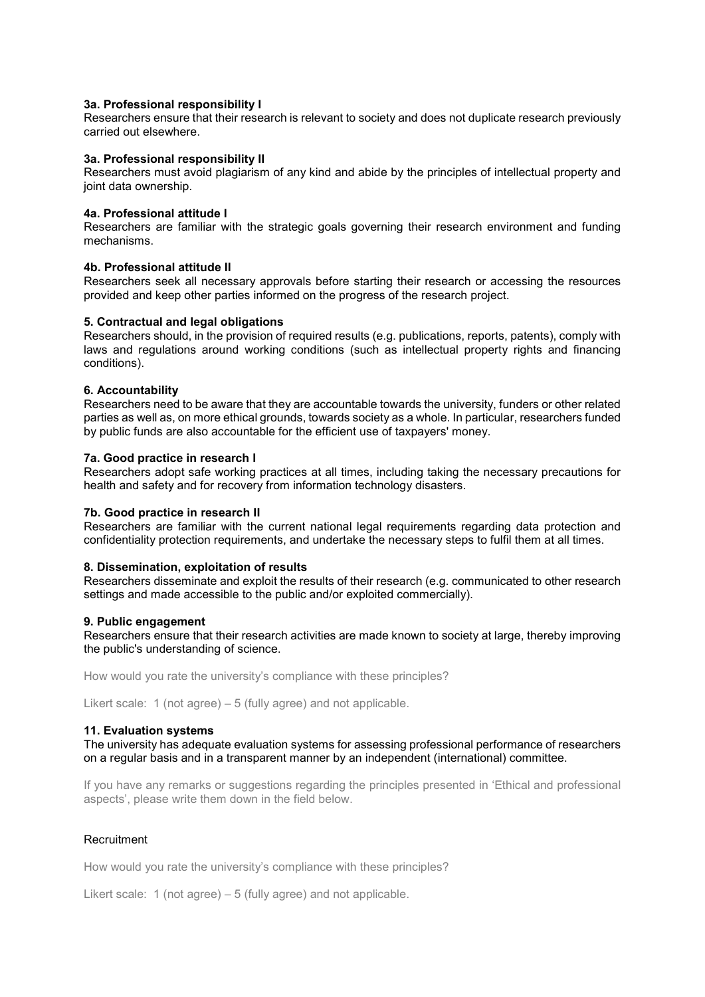#### 3a. Professional responsibility I

Researchers ensure that their research is relevant to society and does not duplicate research previously carried out elsewhere.

#### 3a. Professional responsibility II

Researchers must avoid plagiarism of any kind and abide by the principles of intellectual property and joint data ownership.

#### 4a. Professional attitude I

Researchers are familiar with the strategic goals governing their research environment and funding mechanisms.

#### 4b. Professional attitude II

Researchers seek all necessary approvals before starting their research or accessing the resources provided and keep other parties informed on the progress of the research project.

#### 5. Contractual and legal obligations

Researchers should, in the provision of required results (e.g. publications, reports, patents), comply with laws and regulations around working conditions (such as intellectual property rights and financing conditions).

#### 6. Accountability

Researchers need to be aware that they are accountable towards the university, funders or other related parties as well as, on more ethical grounds, towards society as a whole. In particular, researchers funded by public funds are also accountable for the efficient use of taxpayers' money.

#### 7a. Good practice in research I

Researchers adopt safe working practices at all times, including taking the necessary precautions for health and safety and for recovery from information technology disasters.

# 7b. Good practice in research II

Researchers are familiar with the current national legal requirements regarding data protection and confidentiality protection requirements, and undertake the necessary steps to fulfil them at all times.

#### 8. Dissemination, exploitation of results

Researchers disseminate and exploit the results of their research (e.g. communicated to other research settings and made accessible to the public and/or exploited commercially).

#### 9. Public engagement

Researchers ensure that their research activities are made known to society at large, thereby improving the public's understanding of science.

How would you rate the university's compliance with these principles?

Likert scale: 1 (not agree) – 5 (fully agree) and not applicable.

#### 11. Evaluation systems

The university has adequate evaluation systems for assessing professional performance of researchers on a regular basis and in a transparent manner by an independent (international) committee.

If you have any remarks or suggestions regarding the principles presented in 'Ethical and professional aspects', please write them down in the field below.

### **Recruitment**

How would you rate the university's compliance with these principles?

Likert scale: 1 (not agree) – 5 (fully agree) and not applicable.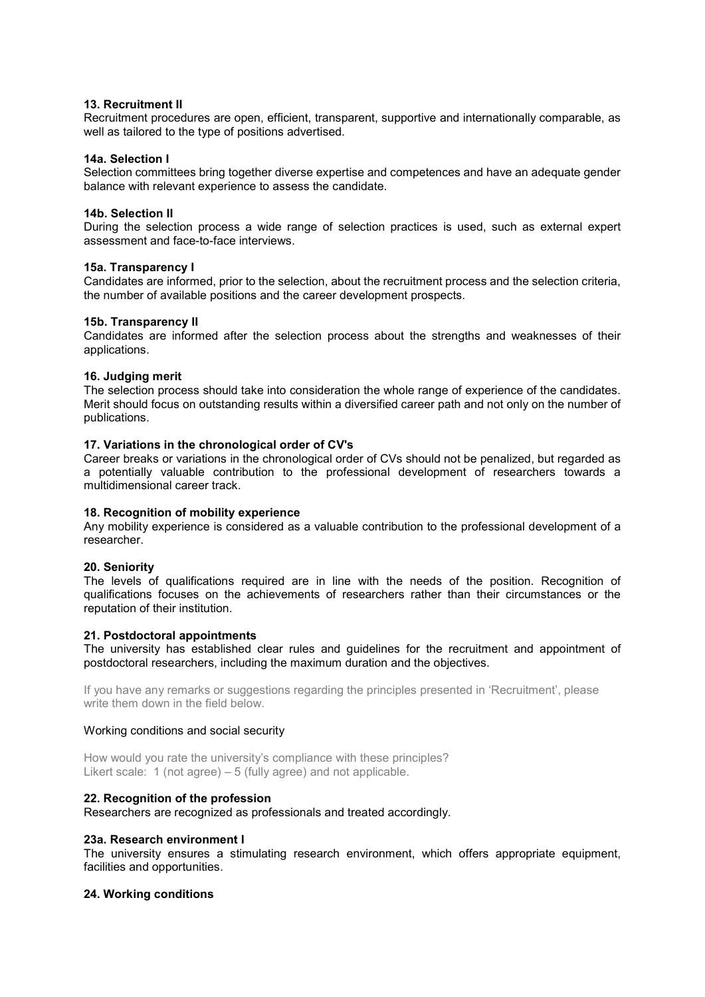### 13. Recruitment II

Recruitment procedures are open, efficient, transparent, supportive and internationally comparable, as well as tailored to the type of positions advertised.

### 14a. Selection I

Selection committees bring together diverse expertise and competences and have an adequate gender balance with relevant experience to assess the candidate.

### 14b. Selection II

During the selection process a wide range of selection practices is used, such as external expert assessment and face-to-face interviews.

### 15a. Transparency I

Candidates are informed, prior to the selection, about the recruitment process and the selection criteria, the number of available positions and the career development prospects.

# 15b. Transparency II

Candidates are informed after the selection process about the strengths and weaknesses of their applications.

# 16. Judging merit

The selection process should take into consideration the whole range of experience of the candidates. Merit should focus on outstanding results within a diversified career path and not only on the number of publications.

# 17. Variations in the chronological order of CV's

Career breaks or variations in the chronological order of CVs should not be penalized, but regarded as a potentially valuable contribution to the professional development of researchers towards a multidimensional career track.

# 18. Recognition of mobility experience

Any mobility experience is considered as a valuable contribution to the professional development of a researcher.

### 20. Seniority

The levels of qualifications required are in line with the needs of the position. Recognition of qualifications focuses on the achievements of researchers rather than their circumstances or the reputation of their institution.

### 21. Postdoctoral appointments

The university has established clear rules and guidelines for the recruitment and appointment of postdoctoral researchers, including the maximum duration and the objectives.

If you have any remarks or suggestions regarding the principles presented in 'Recruitment', please write them down in the field below.

### Working conditions and social security

How would you rate the university's compliance with these principles? Likert scale: 1 (not agree) – 5 (fully agree) and not applicable.

# 22. Recognition of the profession

Researchers are recognized as professionals and treated accordingly.

### 23a. Research environment I

The university ensures a stimulating research environment, which offers appropriate equipment, facilities and opportunities.

### 24. Working conditions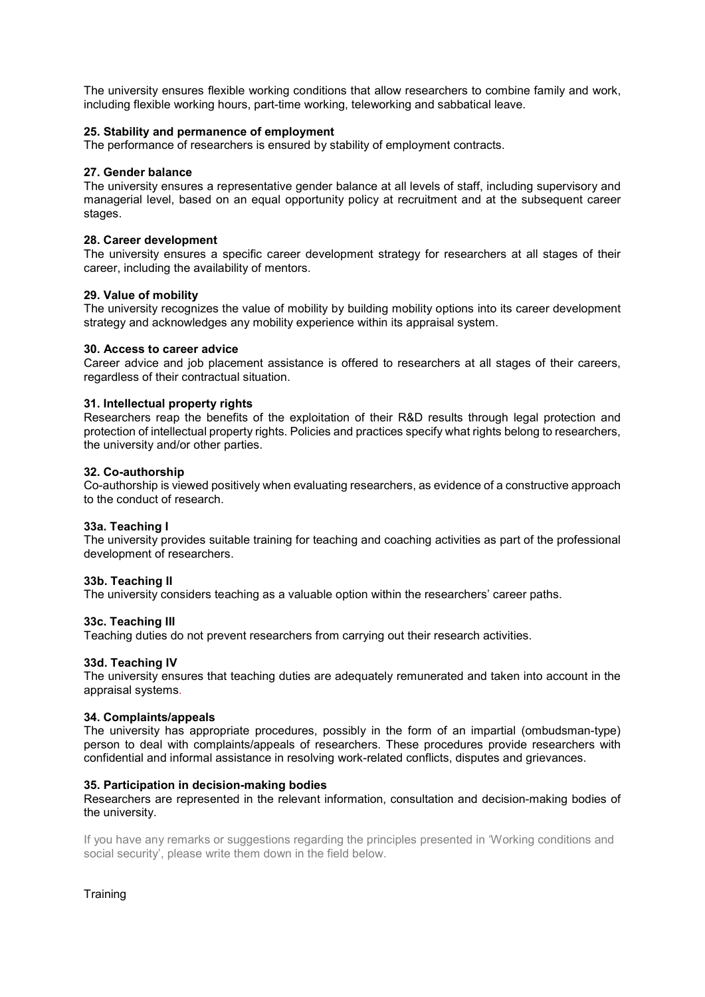The university ensures flexible working conditions that allow researchers to combine family and work, including flexible working hours, part-time working, teleworking and sabbatical leave.

# 25. Stability and permanence of employment

The performance of researchers is ensured by stability of employment contracts.

### 27. Gender balance

The university ensures a representative gender balance at all levels of staff, including supervisory and managerial level, based on an equal opportunity policy at recruitment and at the subsequent career stages.

### 28. Career development

The university ensures a specific career development strategy for researchers at all stages of their career, including the availability of mentors.

# 29. Value of mobility

The university recognizes the value of mobility by building mobility options into its career development strategy and acknowledges any mobility experience within its appraisal system.

### 30. Access to career advice

Career advice and job placement assistance is offered to researchers at all stages of their careers, regardless of their contractual situation.

# 31. Intellectual property rights

Researchers reap the benefits of the exploitation of their R&D results through legal protection and protection of intellectual property rights. Policies and practices specify what rights belong to researchers, the university and/or other parties.

### 32. Co-authorship

Co-authorship is viewed positively when evaluating researchers, as evidence of a constructive approach to the conduct of research.

### 33a. Teaching I

The university provides suitable training for teaching and coaching activities as part of the professional development of researchers.

### 33b. Teaching II

The university considers teaching as a valuable option within the researchers' career paths.

### 33c. Teaching III

Teaching duties do not prevent researchers from carrying out their research activities.

### 33d. Teaching IV

The university ensures that teaching duties are adequately remunerated and taken into account in the appraisal systems.

### 34. Complaints/appeals

The university has appropriate procedures, possibly in the form of an impartial (ombudsman-type) person to deal with complaints/appeals of researchers. These procedures provide researchers with confidential and informal assistance in resolving work-related conflicts, disputes and grievances.

### 35. Participation in decision-making bodies

Researchers are represented in the relevant information, consultation and decision-making bodies of the university.

If you have any remarks or suggestions regarding the principles presented in 'Working conditions and social security', please write them down in the field below.

**Training**